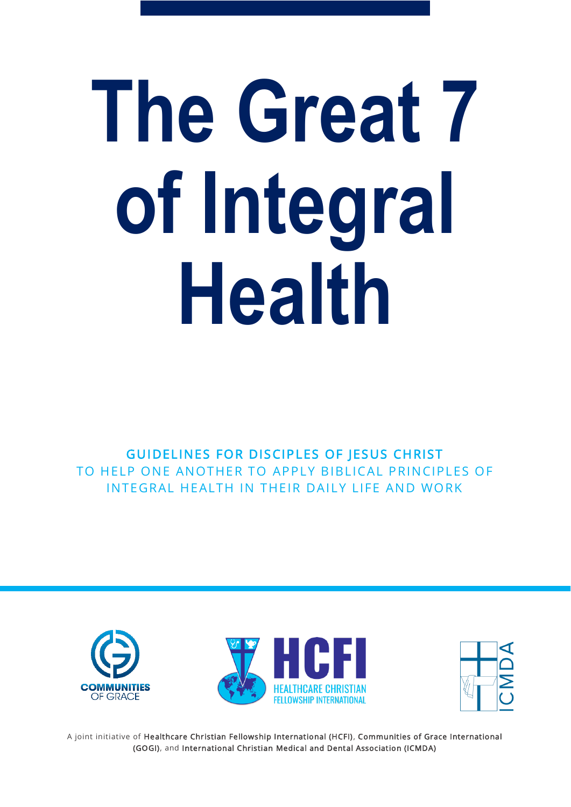# **The Great 7 of Integral Health**

GUIDELINES FOR DISCIPLES OF JESUS CHRIST TO HELP ONE ANOTHER TO APPLY BIBLICAL PRINCIPLES OF INTEGRAL HEALTH IN THEIR DAILY LIFE AND WORK





A joint initiative of Healthcare Christian Fellowship International (HCFI), Communities of Grace International (GOGI), and International Christian Medical and Dental Association (ICMDA)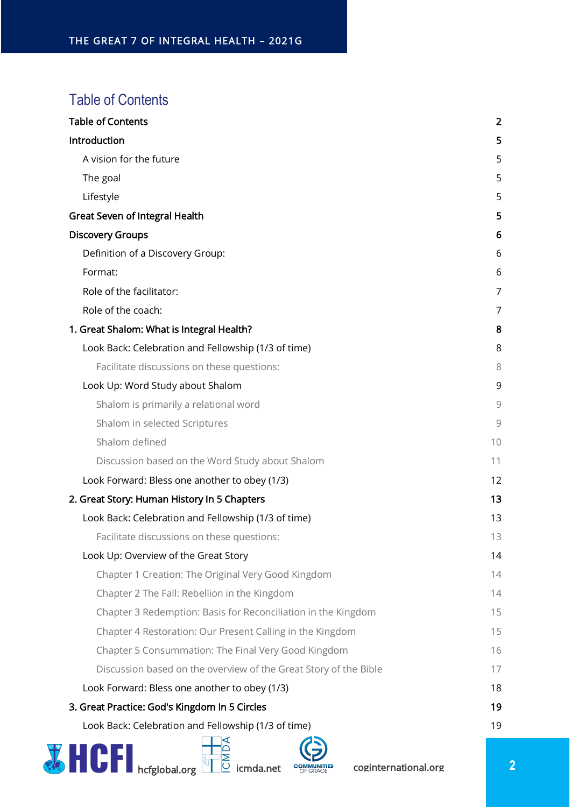## <span id="page-1-0"></span>Table of Contents

| <b>Table of Contents</b>                                         | $\overline{2}$ |
|------------------------------------------------------------------|----------------|
| Introduction                                                     | 5              |
| A vision for the future                                          | 5              |
| The goal                                                         | 5              |
| Lifestyle                                                        | 5              |
| <b>Great Seven of Integral Health</b>                            | 5              |
| <b>Discovery Groups</b>                                          | 6              |
| Definition of a Discovery Group:                                 | 6              |
| Format:                                                          | 6              |
| Role of the facilitator:                                         | 7              |
| Role of the coach:                                               | 7              |
| 1. Great Shalom: What is Integral Health?                        | 8              |
| Look Back: Celebration and Fellowship (1/3 of time)              | 8              |
| Facilitate discussions on these questions:                       | 8              |
| Look Up: Word Study about Shalom                                 | 9              |
| Shalom is primarily a relational word                            | 9              |
| Shalom in selected Scriptures                                    | 9              |
| Shalom defined                                                   | 10             |
| Discussion based on the Word Study about Shalom                  | 11             |
| Look Forward: Bless one another to obey (1/3)                    | 12             |
| 2. Great Story: Human History In 5 Chapters                      | 13             |
| Look Back: Celebration and Fellowship (1/3 of time)              | 13             |
| Facilitate discussions on these questions:                       | 13             |
| Look Up: Overview of the Great Story                             | 14             |
| Chapter 1 Creation: The Original Very Good Kingdom               | 14             |
| Chapter 2 The Fall: Rebellion in the Kingdom                     | 14             |
| Chapter 3 Redemption: Basis for Reconciliation in the Kingdom    | 15             |
| Chapter 4 Restoration: Our Present Calling in the Kingdom        | 15             |
| Chapter 5 Consummation: The Final Very Good Kingdom              | 16             |
| Discussion based on the overview of the Great Story of the Bible | 17             |
| Look Forward: Bless one another to obey (1/3)                    | 18             |
| 3. Great Practice: God's Kingdom In 5 Circles                    | 19             |
| Look Back: Celebration and Fellowship (1/3 of time)              | 19             |
|                                                                  |                |

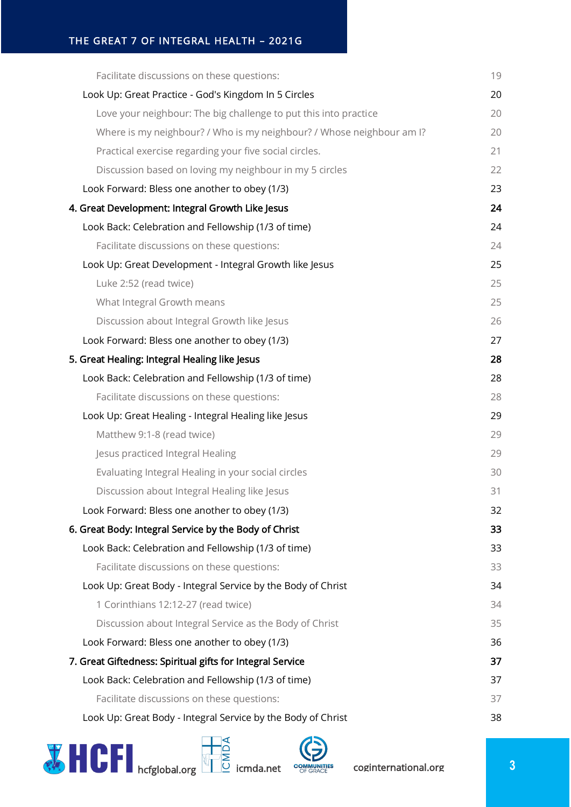| Facilitate discussions on these questions:                            | 19 |
|-----------------------------------------------------------------------|----|
| Look Up: Great Practice - God's Kingdom In 5 Circles                  | 20 |
| Love your neighbour: The big challenge to put this into practice      | 20 |
| Where is my neighbour? / Who is my neighbour? / Whose neighbour am I? | 20 |
| Practical exercise regarding your five social circles.                | 21 |
| Discussion based on loving my neighbour in my 5 circles               | 22 |
| Look Forward: Bless one another to obey (1/3)                         | 23 |
| 4. Great Development: Integral Growth Like Jesus                      | 24 |
| Look Back: Celebration and Fellowship (1/3 of time)                   | 24 |
| Facilitate discussions on these questions:                            | 24 |
| Look Up: Great Development - Integral Growth like Jesus               | 25 |
| Luke 2:52 (read twice)                                                | 25 |
| What Integral Growth means                                            | 25 |
| Discussion about Integral Growth like Jesus                           | 26 |
| Look Forward: Bless one another to obey (1/3)                         | 27 |
| 5. Great Healing: Integral Healing like Jesus                         | 28 |
| Look Back: Celebration and Fellowship (1/3 of time)                   | 28 |
| Facilitate discussions on these questions:                            | 28 |
| Look Up: Great Healing - Integral Healing like Jesus                  | 29 |
| Matthew 9:1-8 (read twice)                                            | 29 |
| Jesus practiced Integral Healing                                      | 29 |
| Evaluating Integral Healing in your social circles                    | 30 |
| Discussion about Integral Healing like Jesus                          | 31 |
| Look Forward: Bless one another to obey (1/3)                         | 32 |
| 6. Great Body: Integral Service by the Body of Christ                 | 33 |
| Look Back: Celebration and Fellowship (1/3 of time)                   | 33 |
| Facilitate discussions on these questions:                            | 33 |
| Look Up: Great Body - Integral Service by the Body of Christ          | 34 |
| 1 Corinthians 12:12-27 (read twice)                                   | 34 |
| Discussion about Integral Service as the Body of Christ               | 35 |
| Look Forward: Bless one another to obey (1/3)                         | 36 |
| 7. Great Giftedness: Spiritual gifts for Integral Service             | 37 |
| Look Back: Celebration and Fellowship (1/3 of time)                   | 37 |
| Facilitate discussions on these questions:                            | 37 |
| Look Up: Great Body - Integral Service by the Body of Christ          | 38 |



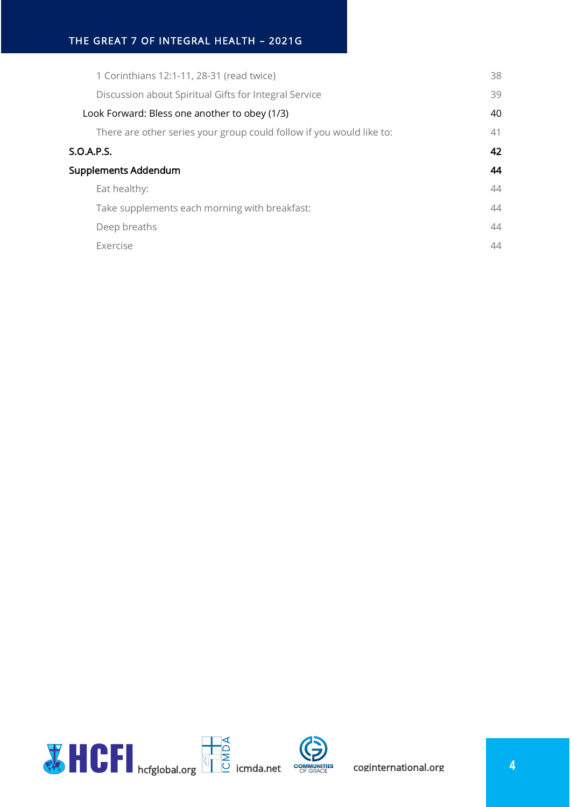| 1 Corinthians 12:1-11, 28-31 (read twice)                            | 38 |
|----------------------------------------------------------------------|----|
| Discussion about Spiritual Gifts for Integral Service                | 39 |
| Look Forward: Bless one another to obey (1/3)                        | 40 |
| There are other series your group could follow if you would like to: | 41 |
| S.O.A.P.S.                                                           | 42 |
| Supplements Addendum                                                 | 44 |
| Eat healthy:                                                         | 44 |
| Take supplements each morning with breakfast:                        | 44 |
| Deep breaths                                                         | 44 |
| <b>Exercise</b>                                                      | 44 |
|                                                                      |    |

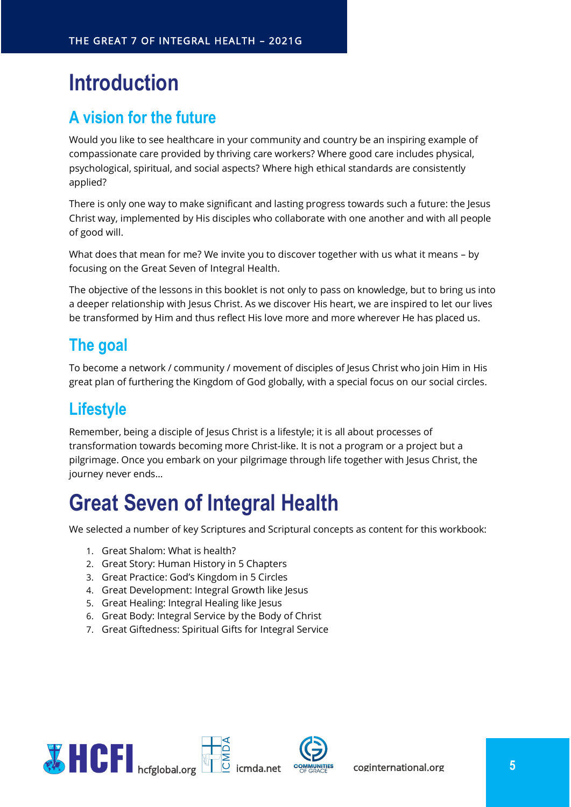# <span id="page-4-0"></span>**Introduction**

## <span id="page-4-1"></span>**A vision for the future**

Would you like to see healthcare in your community and country be an inspiring example of compassionate care provided by thriving care workers? Where good care includes physical, psychological, spiritual, and social aspects? Where high ethical standards are consistently applied?

There is only one way to make significant and lasting progress towards such a future: the Jesus Christ way, implemented by His disciples who collaborate with one another and with all people of good will.

What does that mean for me? We invite you to discover together with us what it means – by focusing on the Great Seven of Integral Health.

The objective of the lessons in this booklet is not only to pass on knowledge, but to bring us into a deeper relationship with Jesus Christ. As we discover His heart, we are inspired to let our lives be transformed by Him and thus reflect His love more and more wherever He has placed us.

## <span id="page-4-2"></span>**The goal**

To become a network / community / movement of disciples of Jesus Christ who join Him in His great plan of furthering the Kingdom of God globally, with a special focus on our social circles.

## <span id="page-4-3"></span>**Lifestyle**

Remember, being a disciple of Jesus Christ is a lifestyle; it is all about processes of transformation towards becoming more Christ-like. It is not a program or a project but a pilgrimage. Once you embark on your pilgrimage through life together with Jesus Christ, the journey never ends…

# <span id="page-4-4"></span>**Great Seven of Integral Health**

We selected a number of key Scriptures and Scriptural concepts as content for this workbook:

- 1. Great Shalom: What is health?
- 2. Great Story: Human History in 5 Chapters
- 3. Great Practice: God's Kingdom in 5 Circles
- 4. Great Development: Integral Growth like Jesus
- 5. Great Healing: Integral Healing like Jesus
- 6. Great Body: Integral Service by the Body of Christ
- 7. Great Giftedness: Spiritual Gifts for Integral Service

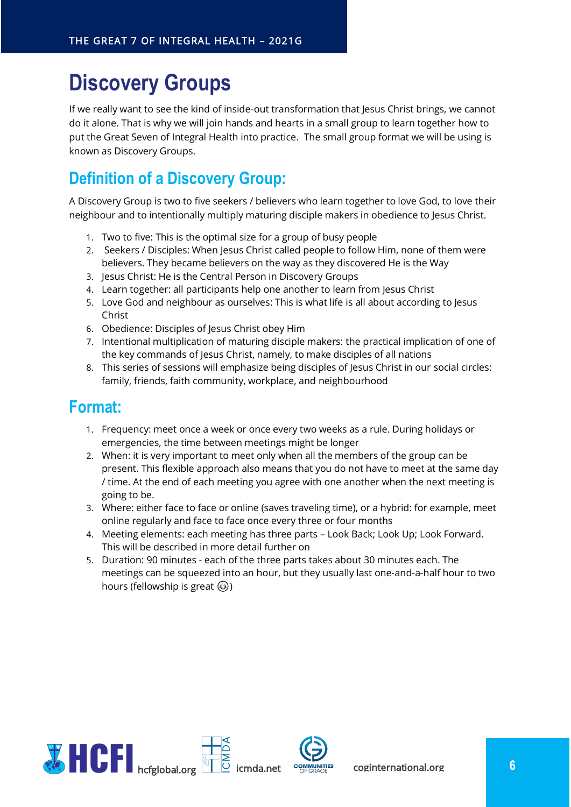# <span id="page-5-0"></span>**Discovery Groups**

If we really want to see the kind of inside-out transformation that Jesus Christ brings, we cannot do it alone. That is why we will join hands and hearts in a small group to learn together how to put the Great Seven of Integral Health into practice. The small group format we will be using is known as Discovery Groups.

## <span id="page-5-1"></span>**Definition of a Discovery Group:**

A Discovery Group is two to five seekers / believers who learn together to love God, to love their neighbour and to intentionally multiply maturing disciple makers in obedience to Jesus Christ.

- 1. Two to five: This is the optimal size for a group of busy people
- 2. Seekers / Disciples: When Jesus Christ called people to follow Him, none of them were believers. They became believers on the way as they discovered He is the Way
- 3. Jesus Christ: He is the Central Person in Discovery Groups
- 4. Learn together: all participants help one another to learn from Jesus Christ
- 5. Love God and neighbour as ourselves: This is what life is all about according to Jesus Christ
- 6. Obedience: Disciples of Jesus Christ obey Him
- 7. Intentional multiplication of maturing disciple makers: the practical implication of one of the key commands of Jesus Christ, namely, to make disciples of all nations
- 8. This series of sessions will emphasize being disciples of Jesus Christ in our social circles: family, friends, faith community, workplace, and neighbourhood

## <span id="page-5-2"></span>**Format:**

- 1. Frequency: meet once a week or once every two weeks as a rule. During holidays or emergencies, the time between meetings might be longer
- 2. When: it is very important to meet only when all the members of the group can be present. This flexible approach also means that you do not have to meet at the same day / time. At the end of each meeting you agree with one another when the next meeting is going to be.
- 3. Where: either face to face or online (saves traveling time), or a hybrid: for example, meet online regularly and face to face once every three or four months
- 4. Meeting elements: each meeting has three parts Look Back; Look Up; Look Forward. This will be described in more detail further on
- 5. Duration: 90 minutes each of the three parts takes about 30 minutes each. The meetings can be squeezed into an hour, but they usually last one-and-a-half hour to two hours (fellowship is great  $\circled{e}$ )

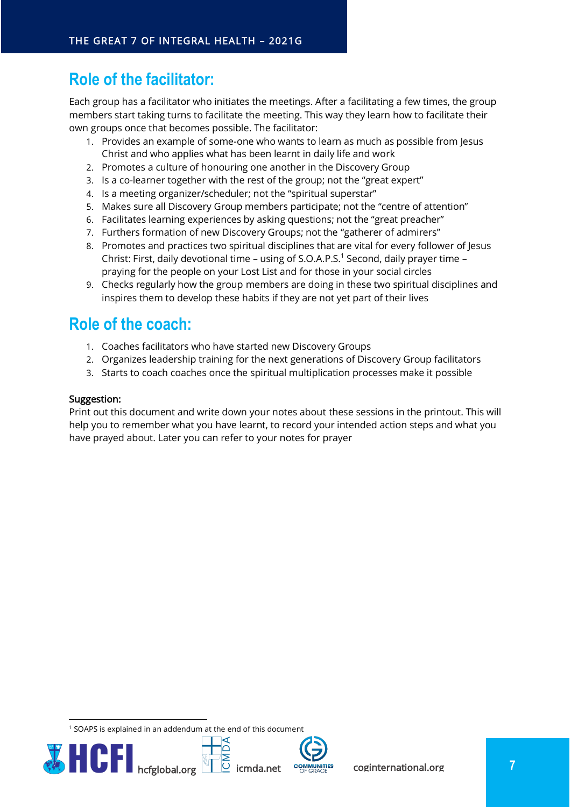## <span id="page-6-0"></span>**Role of the facilitator:**

Each group has a facilitator who initiates the meetings. After a facilitating a few times, the group members start taking turns to facilitate the meeting. This way they learn how to facilitate their own groups once that becomes possible. The facilitator:

- 1. Provides an example of some-one who wants to learn as much as possible from Jesus Christ and who applies what has been learnt in daily life and work
- 2. Promotes a culture of honouring one another in the Discovery Group
- 3. Is a co-learner together with the rest of the group; not the "great expert"
- 4. Is a meeting organizer/scheduler; not the "spiritual superstar"
- 5. Makes sure all Discovery Group members participate; not the "centre of attention"
- 6. Facilitates learning experiences by asking questions; not the "great preacher"
- 7. Furthers formation of new Discovery Groups; not the "gatherer of admirers"
- 8. Promotes and practices two spiritual disciplines that are vital for every follower of Jesus Christ: First, daily devotional time - using of S.O.A.P.S.<sup>1</sup> Second, daily prayer time praying for the people on your Lost List and for those in your social circles
- 9. Checks regularly how the group members are doing in these two spiritual disciplines and inspires them to develop these habits if they are not yet part of their lives

## <span id="page-6-1"></span>**Role of the coach:**

- 1. Coaches facilitators who have started new Discovery Groups
- 2. Organizes leadership training for the next generations of Discovery Group facilitators
- 3. Starts to coach coaches once the spiritual multiplication processes make it possible

#### Suggestion:

Print out this document and write down your notes about these sessions in the printout. This will help you to remember what you have learnt, to record your intended action steps and what you have prayed about. Later you can refer to your notes for prayer

<sup>1</sup> SOAPS is explained in an addendum at the end of this document

ها



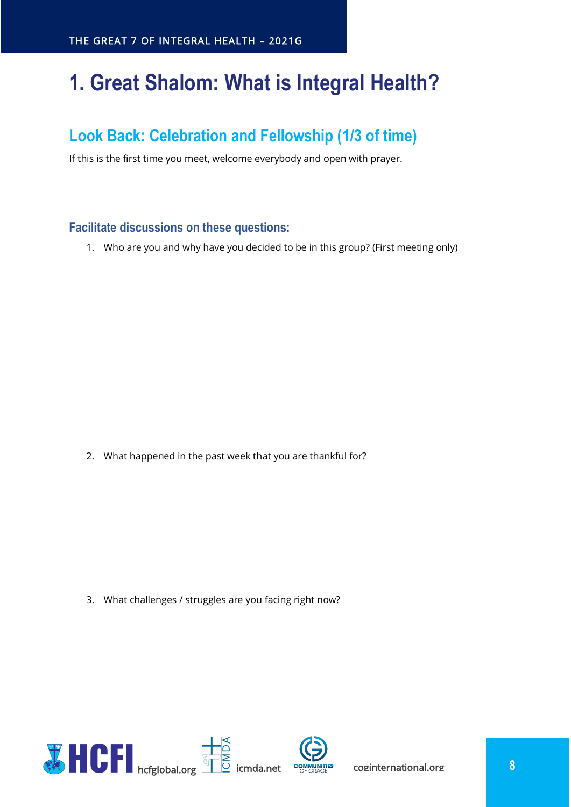# <span id="page-7-0"></span>**1. Great Shalom: What is Integral Health?**

## <span id="page-7-1"></span>**Look Back: Celebration and Fellowship (1/3 of time)**

If this is the first time you meet, welcome everybody and open with prayer.

## <span id="page-7-2"></span>**Facilitate discussions on these questions:**

1. Who are you and why have you decided to be in this group? (First meeting only)

2. What happened in the past week that you are thankful for?

3. What challenges / struggles are you facing right now?

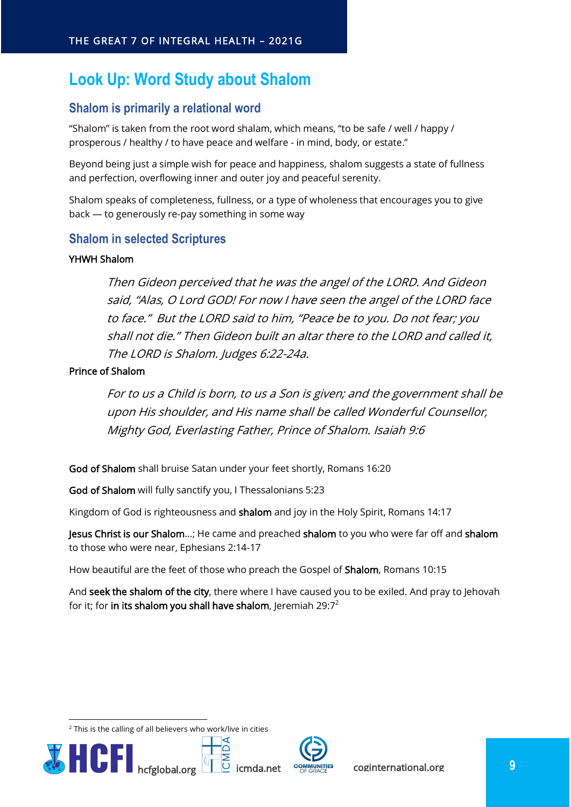## <span id="page-8-0"></span>**Look Up: Word Study about Shalom**

## <span id="page-8-1"></span>**Shalom is primarily a relational word**

"Shalom" is taken from the root word shalam, which means, "to be safe / well / happy / prosperous / healthy / to have peace and welfare - in mind, body, or estate."

Beyond being just a simple wish for peace and happiness, shalom suggests a state of fullness and perfection, overflowing inner and outer joy and peaceful serenity.

Shalom speaks of completeness, fullness, or a type of wholeness that encourages you to give back — to generously re-pay something in some way

#### <span id="page-8-2"></span>**Shalom in selected Scriptures**

#### YHWH Shalom

Then Gideon perceived that he was the angel of the LORD. And Gideon said, "Alas, O Lord GOD! For now I have seen the angel of the LORD face to face." But the LORD said to him, "Peace be to you. Do not fear; you shall not die." Then Gideon built an altar there to the LORD and called it, The LORD is Shalom. Judges 6:22-24a.

#### Prince of Shalom

For to us a Child is born, to us a Son is given; and the government shall be upon His shoulder, and His name shall be called Wonderful Counsellor, Mighty God, Everlasting Father, Prince of Shalom. Isaiah 9:6

God of Shalom shall bruise Satan under your feet shortly, Romans 16:20

ها

God of Shalom will fully sanctify you, I Thessalonians 5:23

Kingdom of God is righteousness and shalom and joy in the Holy Spirit, Romans 14:17

Jesus Christ is our Shalom...; He came and preached shalom to you who were far off and shalom to those who were near, Ephesians 2:14-17

How beautiful are the feet of those who preach the Gospel of Shalom, Romans 10:15

And seek the shalom of the city, there where I have caused you to be exiled. And pray to Jehovah for it; for in its shalom you shall have shalom, Jeremiah  $29:7^2$ 

 $2$  This is the calling of all believers who work/live in cities



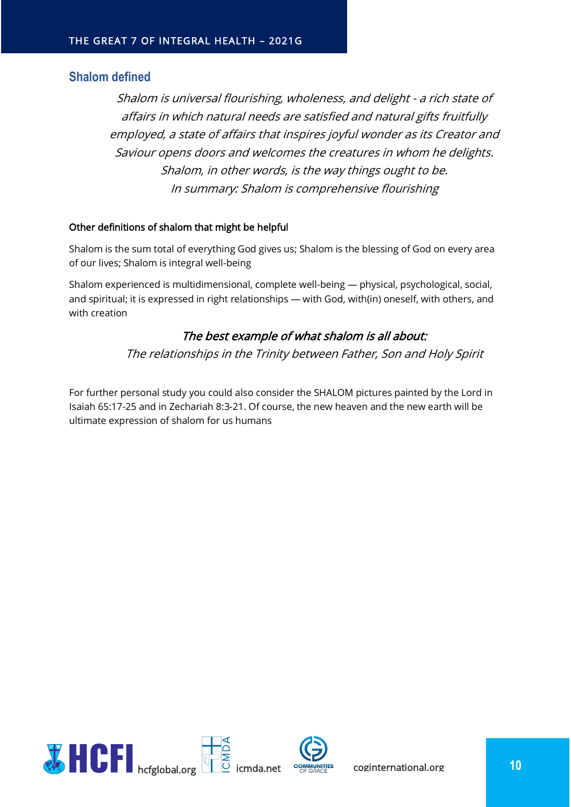#### <span id="page-9-0"></span>**Shalom defined**

Shalom is universal flourishing, wholeness, and delight - a rich state of affairs in which natural needs are satisfied and natural gifts fruitfully employed, a state of affairs that inspires joyful wonder as its Creator and Saviour opens doors and welcomes the creatures in whom he delights. Shalom, in other words, is the way things ought to be. In summary: Shalom is comprehensive flourishing

#### Other definitions of shalom that might be helpful

Shalom is the sum total of everything God gives us; Shalom is the blessing of God on every area of our lives; Shalom is integral well-being

Shalom experienced is multidimensional, complete well-being — physical, psychological, social, and spiritual; it is expressed in right relationships — with God, with(in) oneself, with others, and with creation

#### The best example of what shalom is all about:

The relationships in the Trinity between Father, Son and Holy Spirit

For further personal study you could also consider the SHALOM pictures painted by the Lord in Isaiah 65:17-25 and in Zechariah 8:3-21. Of course, the new heaven and the new earth will be ultimate expression of shalom for us humans

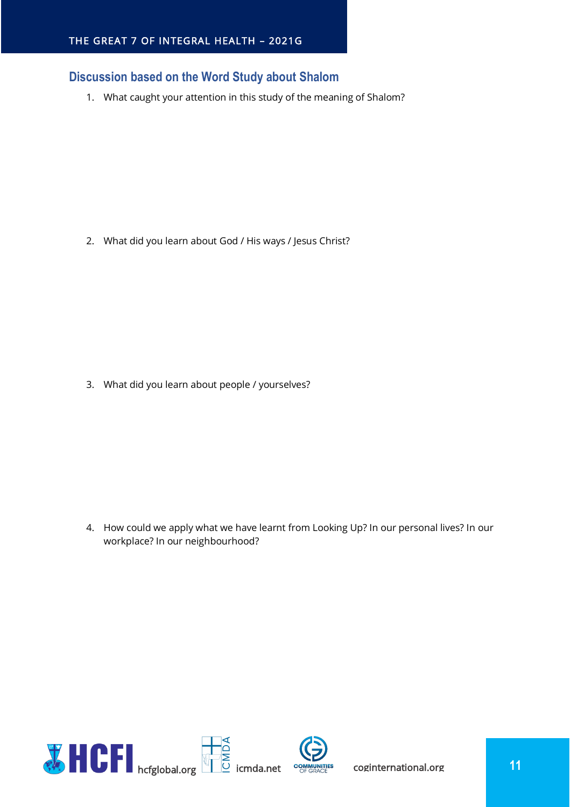## <span id="page-10-0"></span>**Discussion based on the Word Study about Shalom**

1. What caught your attention in this study of the meaning of Shalom?

2. What did you learn about God / His ways / Jesus Christ?

3. What did you learn about people / yourselves?

4. How could we apply what we have learnt from Looking Up? In our personal lives? In our workplace? In our neighbourhood?

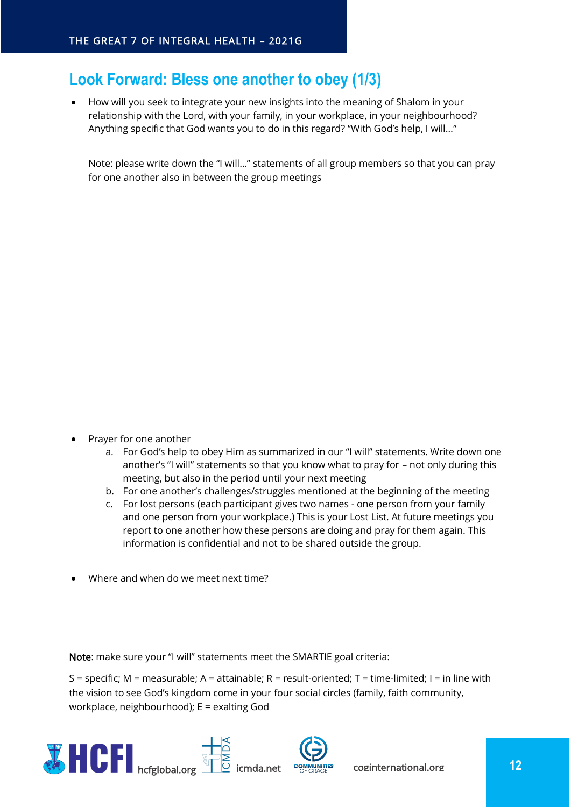## <span id="page-11-0"></span>**Look Forward: Bless one another to obey (1/3)**

• How will you seek to integrate your new insights into the meaning of Shalom in your relationship with the Lord, with your family, in your workplace, in your neighbourhood? Anything specific that God wants you to do in this regard? "With God's help, I will…"

Note: please write down the "I will…" statements of all group members so that you can pray for one another also in between the group meetings

- Prayer for one another
	- a. For God's help to obey Him as summarized in our "I will" statements. Write down one another's "I will" statements so that you know what to pray for – not only during this meeting, but also in the period until your next meeting
	- b. For one another's challenges/struggles mentioned at the beginning of the meeting
	- c. For lost persons (each participant gives two names one person from your family and one person from your workplace.) This is your Lost List. At future meetings you report to one another how these persons are doing and pray for them again. This information is confidential and not to be shared outside the group.
- Where and when do we meet next time?

Note: make sure your "I will" statements meet the SMARTIE goal criteria:

S = specific; M = measurable; A = attainable; R = result-oriented; T = time-limited; I = in line with the vision to see God's kingdom come in your four social circles (family, faith community, workplace, neighbourhood); E = exalting God

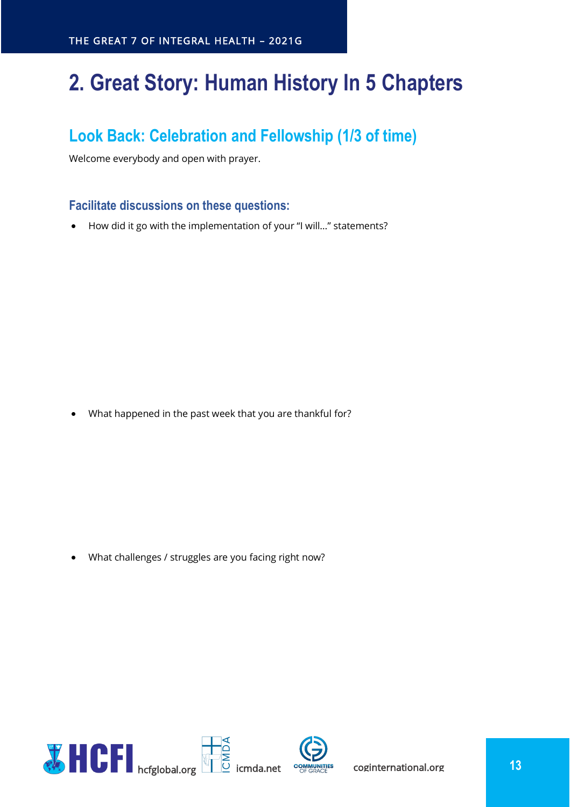# <span id="page-12-0"></span>**2. Great Story: Human History In 5 Chapters**

## <span id="page-12-1"></span>**Look Back: Celebration and Fellowship (1/3 of time)**

Welcome everybody and open with prayer.

#### <span id="page-12-2"></span>**Facilitate discussions on these questions:**

• How did it go with the implementation of your "I will…" statements?

• What happened in the past week that you are thankful for?

• What challenges / struggles are you facing right now?

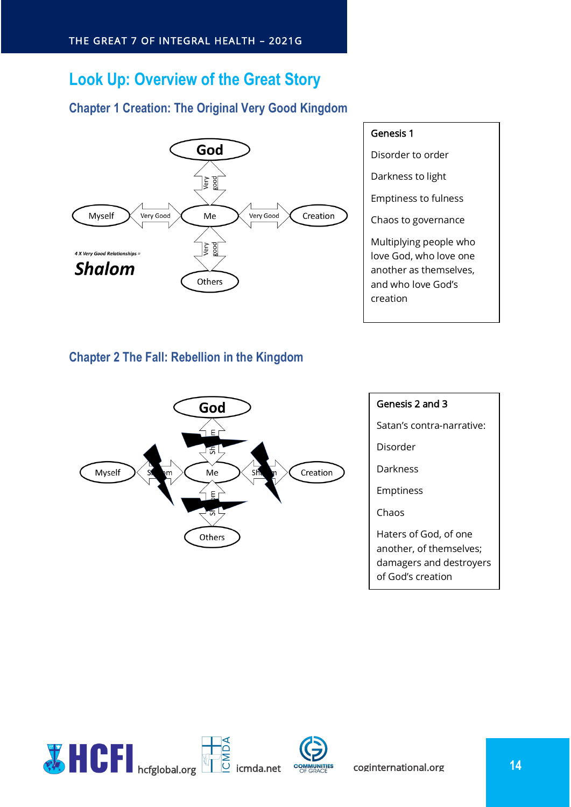## <span id="page-13-0"></span>**Look Up: Overview of the Great Story**

## <span id="page-13-1"></span>**Chapter 1 Creation: The Original Very Good Kingdom**



## Genesis 1

Disorder to order

Darkness to light

Emptiness to fulness

Chaos to governance

Multiplying people who love God, who love one another as themselves, and who love God's creation

## <span id="page-13-2"></span>**Chapter 2 The Fall: Rebellion in the Kingdom**



## Genesis 2 and 3 Satan's contra-narrative: Disorder Darkness Emptiness Chaos Haters of God, of one another, of themselves; damagers and destroyers of God's creation

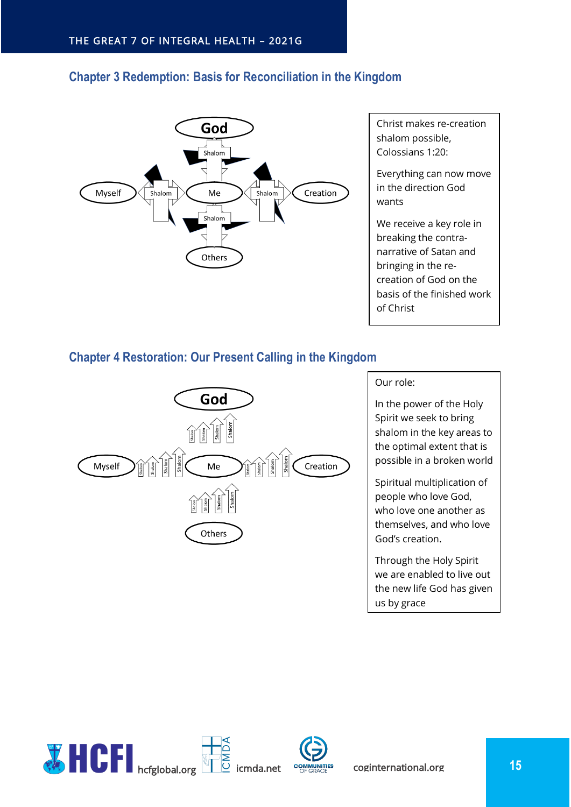## <span id="page-14-0"></span>**Chapter 3 Redemption: Basis for Reconciliation in the Kingdom**



Christ makes re-creation shalom possible, Colossians 1:20:

Everything can now move in the direction God wants

We receive a key role in breaking the contranarrative of Satan and bringing in the recreation of God on the basis of the finished work of Christ

## <span id="page-14-1"></span>**Chapter 4 Restoration: Our Present Calling in the Kingdom**



#### Our role:

In the power of the Holy Spirit we seek to bring shalom in the key areas to the optimal extent that is possible in a broken world

Spiritual multiplication of people who love God, who love one another as themselves, and who love God's creation.

Through the Holy Spirit we are enabled to live out the new life God has given us by grace

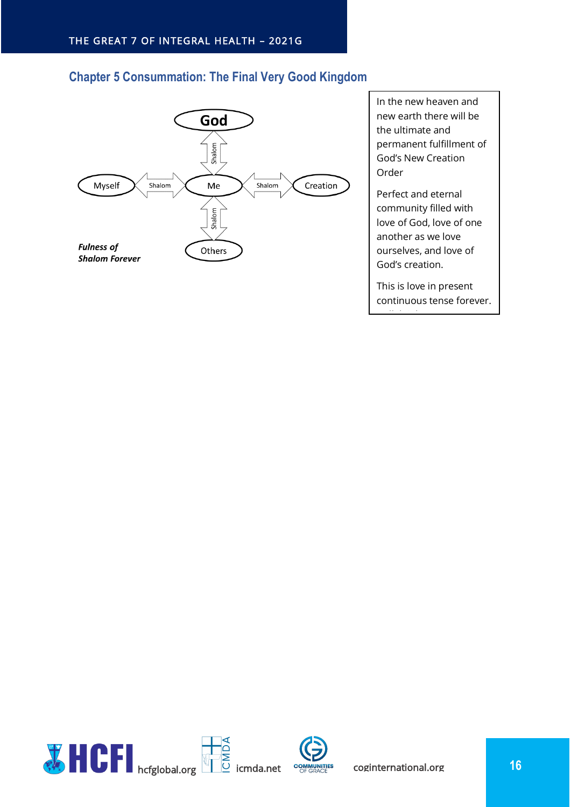## <span id="page-15-0"></span>**Chapter 5 Consummation: The Final Very Good Kingdom**



In the new heaven and new earth there will be the ultimate and permanent fulfillment of God's New Creation Order

Perfect and eternal community filled with love of God, love of one another as we love ourselves, and love of God's creation.

This is love in present continuous tense forever.

Hallelujah!

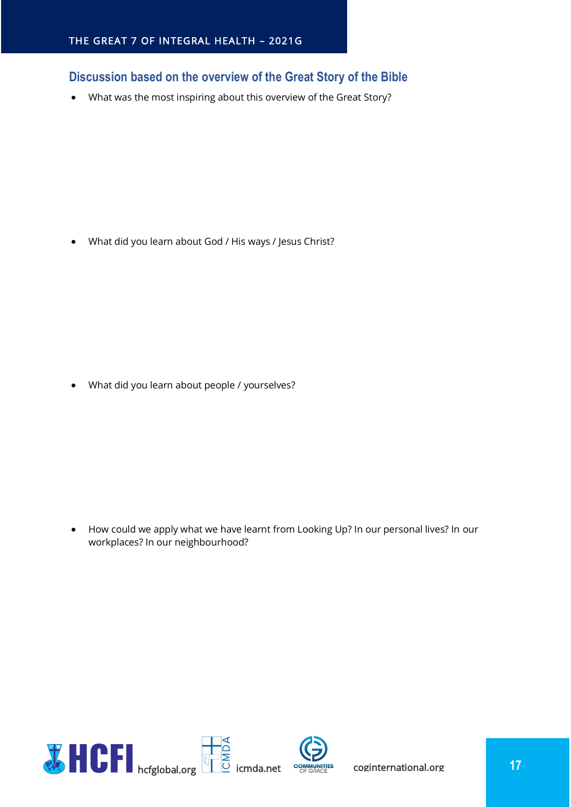## <span id="page-16-0"></span>**Discussion based on the overview of the Great Story of the Bible**

• What was the most inspiring about this overview of the Great Story?

• What did you learn about God / His ways / Jesus Christ?

• What did you learn about people / yourselves?

• How could we apply what we have learnt from Looking Up? In our personal lives? In our workplaces? In our neighbourhood?

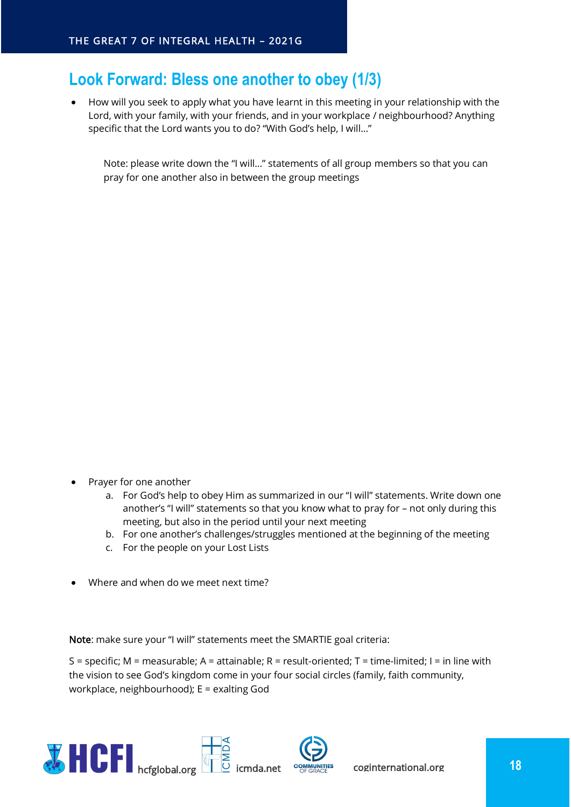## <span id="page-17-0"></span>**Look Forward: Bless one another to obey (1/3)**

• How will you seek to apply what you have learnt in this meeting in your relationship with the Lord, with your family, with your friends, and in your workplace / neighbourhood? Anything specific that the Lord wants you to do? "With God's help, I will…"

Note: please write down the "I will…" statements of all group members so that you can pray for one another also in between the group meetings

- Prayer for one another
	- a. For God's help to obey Him as summarized in our "I will" statements. Write down one another's "I will" statements so that you know what to pray for – not only during this meeting, but also in the period until your next meeting
	- b. For one another's challenges/struggles mentioned at the beginning of the meeting
	- c. For the people on your Lost Lists
- Where and when do we meet next time?

Note: make sure your "I will" statements meet the SMARTIE goal criteria:

S = specific; M = measurable; A = attainable; R = result-oriented; T = time-limited; I = in line with the vision to see God's kingdom come in your four social circles (family, faith community, workplace, neighbourhood); E = exalting God

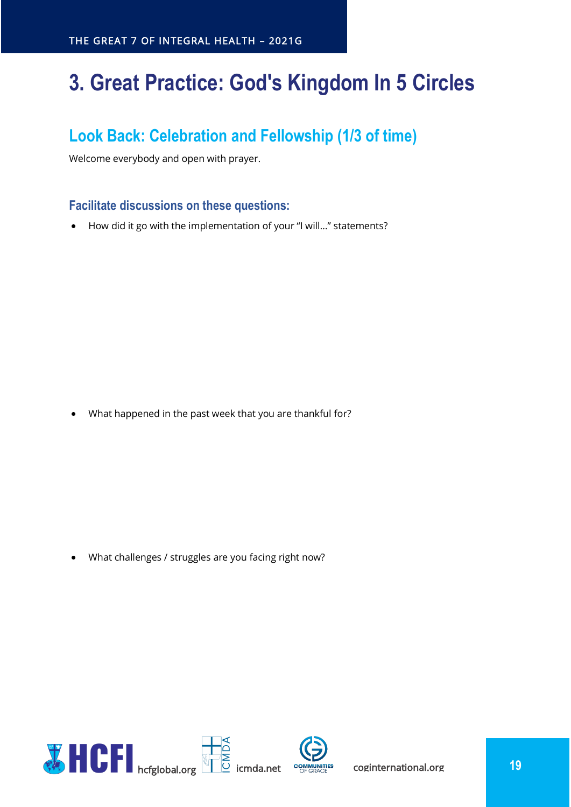# <span id="page-18-0"></span>**3. Great Practice: God's Kingdom In 5 Circles**

## <span id="page-18-1"></span>**Look Back: Celebration and Fellowship (1/3 of time)**

Welcome everybody and open with prayer.

## <span id="page-18-2"></span>**Facilitate discussions on these questions:**

• How did it go with the implementation of your "I will…" statements?

• What happened in the past week that you are thankful for?

• What challenges / struggles are you facing right now?

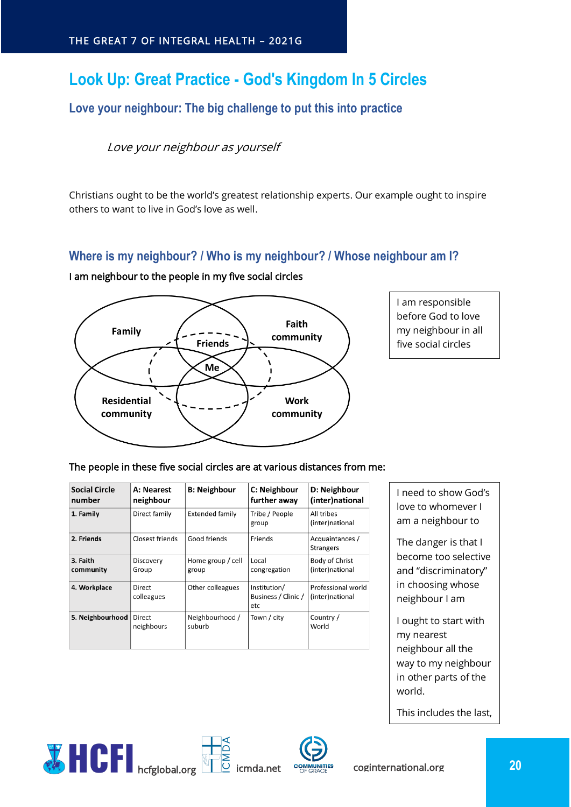## <span id="page-19-0"></span>**Look Up: Great Practice - God's Kingdom In 5 Circles**

## <span id="page-19-1"></span>**Love your neighbour: The big challenge to put this into practice**

#### Love your neighbour as yourself

Christians ought to be the world's greatest relationship experts. Our example ought to inspire others to want to live in God's love as well.

## <span id="page-19-2"></span>**Where is my neighbour? / Who is my neighbour? / Whose neighbour am I?**

#### I am neighbour to the people in my five social circles



I am responsible before God to love my neighbour in all five social circles

#### The people in these five social circles are at various distances from me:

| <b>Social Circle</b><br>number | A: Nearest<br>neighbour | <b>B: Neighbour</b>        | C: Neighbour<br>further away               | D: Neighbour<br>(inter)national       |
|--------------------------------|-------------------------|----------------------------|--------------------------------------------|---------------------------------------|
| 1. Family                      | Direct family           | <b>Extended family</b>     | Tribe / People<br>group                    | All tribes<br>(inter)national         |
| 2. Friends                     | Closest friends         | Good friends               | Friends                                    | Acquaintances /<br><b>Strangers</b>   |
| 3. Faith<br>community          | Discovery<br>Group      | Home group / cell<br>group | Local<br>congregation                      | Body of Christ<br>(inter)national     |
| 4. Workplace                   | Direct<br>colleagues    | Other colleagues           | Institution/<br>Business / Clinic /<br>etc | Professional world<br>(inter)national |
| 5. Neighbourhood               | Direct<br>neighbours    | Neighbourhood /<br>suburb  | Town / city                                | Country /<br>World                    |

 $\overline{\mathsf{d}}$ 

I need to show God's love to whomever I am a neighbour to

The danger is that I become too selective and "discriminatory" in choosing whose neighbour I am

I ought to start with my nearest neighbour all the way to my neighbour in other parts of the world.

This includes the last, the least and the lost



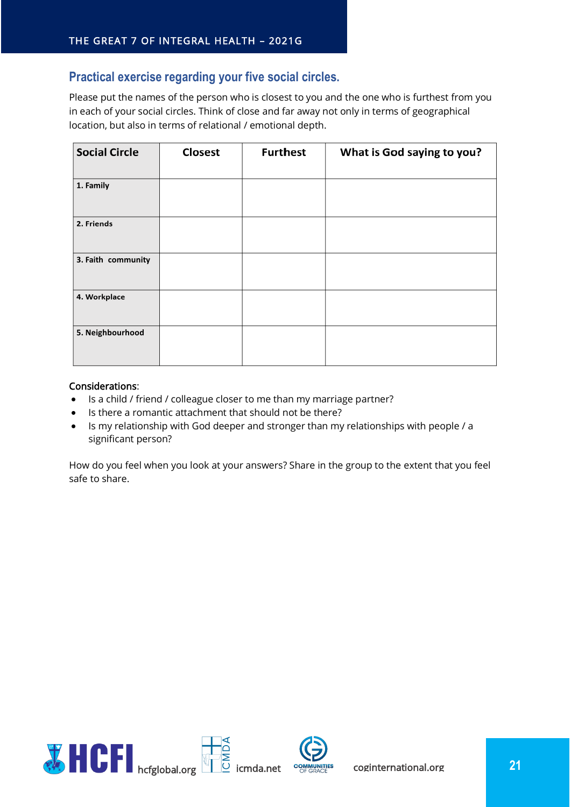## <span id="page-20-0"></span>**Practical exercise regarding your five social circles.**

Please put the names of the person who is closest to you and the one who is furthest from you in each of your social circles. Think of close and far away not only in terms of geographical location, but also in terms of relational / emotional depth.

| <b>Social Circle</b> | <b>Closest</b> | <b>Furthest</b> | What is God saying to you? |
|----------------------|----------------|-----------------|----------------------------|
| 1. Family            |                |                 |                            |
| 2. Friends           |                |                 |                            |
| 3. Faith community   |                |                 |                            |
| 4. Workplace         |                |                 |                            |
| 5. Neighbourhood     |                |                 |                            |

#### Considerations:

- Is a child / friend / colleague closer to me than my marriage partner?
- Is there a romantic attachment that should not be there?
- Is my relationship with God deeper and stronger than my relationships with people / a significant person?

How do you feel when you look at your answers? Share in the group to the extent that you feel safe to share.

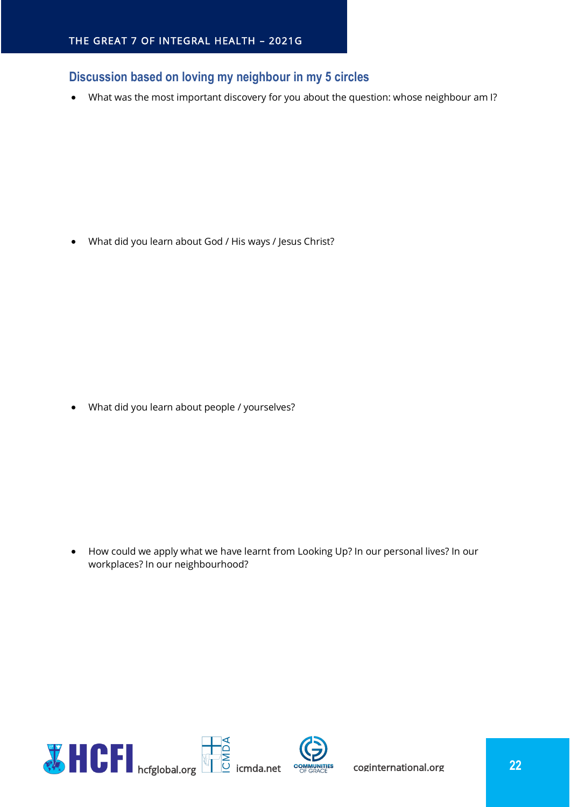## <span id="page-21-0"></span>**Discussion based on loving my neighbour in my 5 circles**

• What was the most important discovery for you about the question: whose neighbour am I?

• What did you learn about God / His ways / Jesus Christ?

• What did you learn about people / yourselves?

• How could we apply what we have learnt from Looking Up? In our personal lives? In our workplaces? In our neighbourhood?

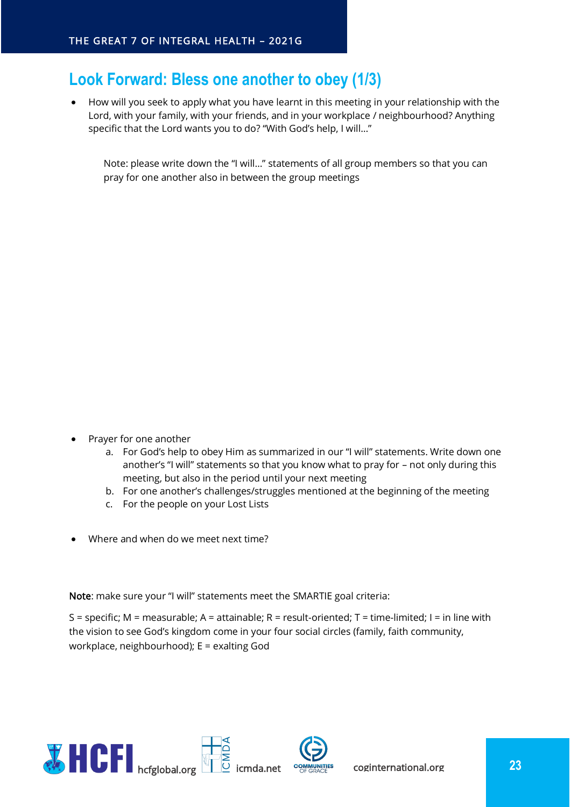## <span id="page-22-0"></span>**Look Forward: Bless one another to obey (1/3)**

• How will you seek to apply what you have learnt in this meeting in your relationship with the Lord, with your family, with your friends, and in your workplace / neighbourhood? Anything specific that the Lord wants you to do? "With God's help, I will…"

Note: please write down the "I will…" statements of all group members so that you can pray for one another also in between the group meetings

- Prayer for one another
	- a. For God's help to obey Him as summarized in our "I will" statements. Write down one another's "I will" statements so that you know what to pray for – not only during this meeting, but also in the period until your next meeting
	- b. For one another's challenges/struggles mentioned at the beginning of the meeting
	- c. For the people on your Lost Lists
- Where and when do we meet next time?

Note: make sure your "I will" statements meet the SMARTIE goal criteria:

S = specific; M = measurable; A = attainable; R = result-oriented; T = time-limited; I = in line with the vision to see God's kingdom come in your four social circles (family, faith community, workplace, neighbourhood); E = exalting God

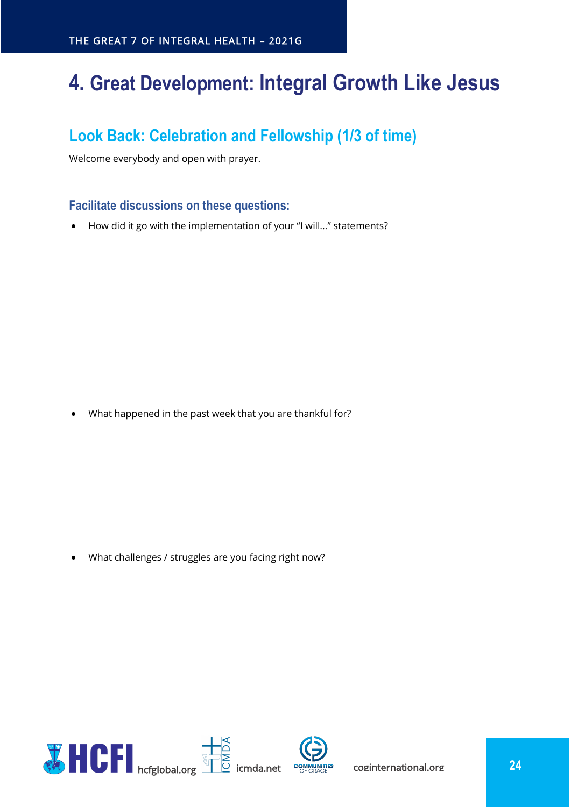## <span id="page-23-0"></span>**4. Great Development: Integral Growth Like Jesus**

## <span id="page-23-1"></span>**Look Back: Celebration and Fellowship (1/3 of time)**

Welcome everybody and open with prayer.

## <span id="page-23-2"></span>**Facilitate discussions on these questions:**

• How did it go with the implementation of your "I will…" statements?

• What happened in the past week that you are thankful for?

• What challenges / struggles are you facing right now?

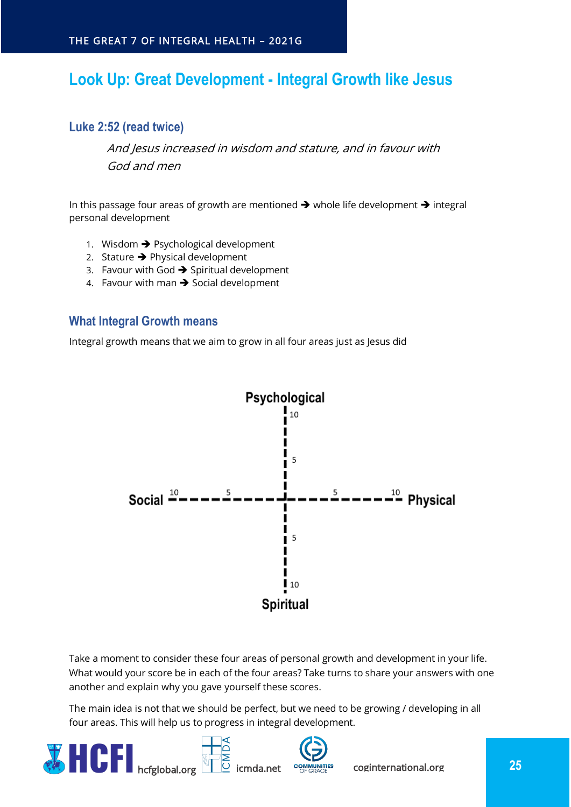## <span id="page-24-0"></span>**Look Up: Great Development - Integral Growth like Jesus**

#### <span id="page-24-1"></span>**Luke 2:52 (read twice)**

And Jesus increased in wisdom and stature, and in favour with God and men

In this passage four areas of growth are mentioned ➔ whole life development ➔ integral personal development

- 1. Wisdom  $\rightarrow$  Psychological development
- 2. Stature  $\rightarrow$  Physical development
- 3. Favour with God  $\rightarrow$  Spiritual development
- 4. Favour with man ➔ Social development

#### <span id="page-24-2"></span>**What Integral Growth means**

Integral growth means that we aim to grow in all four areas just as Jesus did



Take a moment to consider these four areas of personal growth and development in your life. What would your score be in each of the four areas? Take turns to share your answers with one another and explain why you gave yourself these scores.

The main idea is not that we should be perfect, but we need to be growing / developing in all four areas. This will help us to progress in integral development.

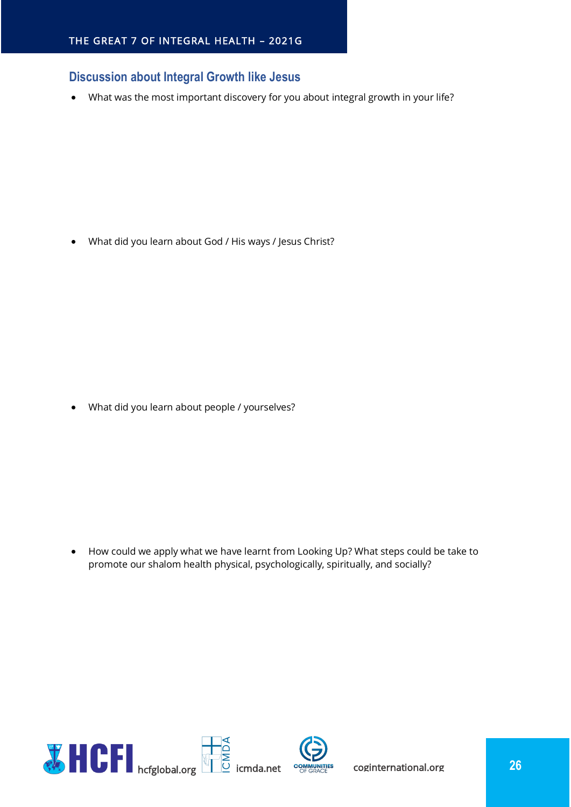#### <span id="page-25-0"></span>**Discussion about Integral Growth like Jesus**

• What was the most important discovery for you about integral growth in your life?

• What did you learn about God / His ways / Jesus Christ?

• What did you learn about people / yourselves?

• How could we apply what we have learnt from Looking Up? What steps could be take to promote our shalom health physical, psychologically, spiritually, and socially?



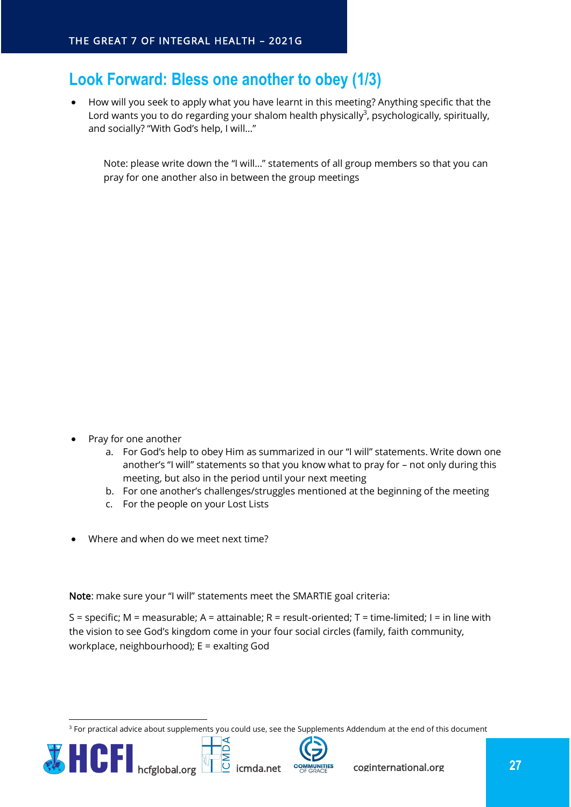## <span id="page-26-0"></span>**Look Forward: Bless one another to obey (1/3)**

• How will you seek to apply what you have learnt in this meeting? Anything specific that the Lord wants you to do regarding your shalom health physically<sup>3</sup>, psychologically, spiritually, and socially? "With God's help, I will…"

Note: please write down the "I will…" statements of all group members so that you can pray for one another also in between the group meetings

- Pray for one another
	- a. For God's help to obey Him as summarized in our "I will" statements. Write down one another's "I will" statements so that you know what to pray for – not only during this meeting, but also in the period until your next meeting
	- b. For one another's challenges/struggles mentioned at the beginning of the meeting
	- c. For the people on your Lost Lists
- Where and when do we meet next time?

Note: make sure your "I will" statements meet the SMARTIE goal criteria:

S = specific; M = measurable; A = attainable; R = result-oriented; T = time-limited; I = in line with the vision to see God's kingdom come in your four social circles (family, faith community, workplace, neighbourhood); E = exalting God

 $3$  For practical advice about supplements you could use, see the Supplements Addendum at the end of this document



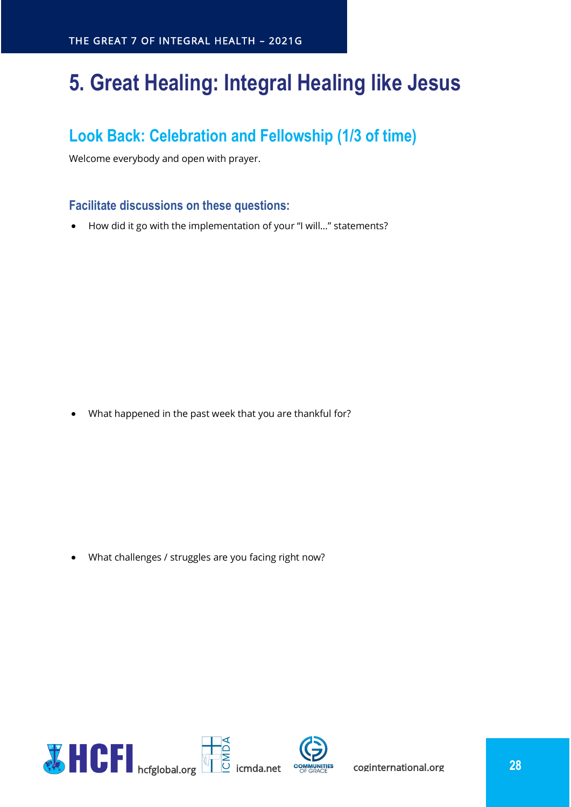# <span id="page-27-0"></span>**5. Great Healing: Integral Healing like Jesus**

## <span id="page-27-1"></span>**Look Back: Celebration and Fellowship (1/3 of time)**

Welcome everybody and open with prayer.

## <span id="page-27-2"></span>**Facilitate discussions on these questions:**

• How did it go with the implementation of your "I will…" statements?

• What happened in the past week that you are thankful for?

• What challenges / struggles are you facing right now?

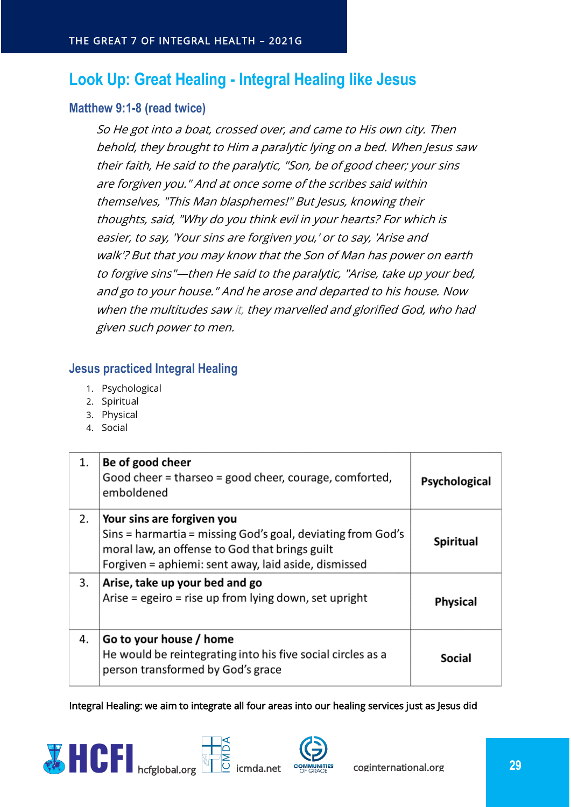## <span id="page-28-0"></span>**Look Up: Great Healing - Integral Healing like Jesus**

#### <span id="page-28-1"></span>**Matthew 9:1-8 (read twice)**

So He got into a boat, crossed over, and came to His own city. Then behold, they brought to Him a paralytic lying on a bed. When Jesus saw their faith, He said to the paralytic, "Son, be of good cheer; your sins are forgiven you." And at once some of the scribes said within themselves, "This Man blasphemes!" But Jesus, knowing their thoughts, said, "Why do you think evil in your hearts? For which is easier, to say, 'Your sins are forgiven you,' or to say, 'Arise and walk'? But that you may know that the Son of Man has power on earth to forgive sins"—then He said to the paralytic, "Arise, take up your bed, and go to your house." And he arose and departed to his house. Now when the multitudes saw it, they marvelled and glorified God, who had given such power to men.

#### <span id="page-28-2"></span>**Jesus practiced Integral Healing**

- 1. Psychological
- 2. Spiritual
- 3. Physical
- 4. Social

| 1. | Be of good cheer<br>Good cheer = tharseo = good cheer, courage, comforted,<br>emboldened                                                                                                            | Psychological   |
|----|-----------------------------------------------------------------------------------------------------------------------------------------------------------------------------------------------------|-----------------|
| 2. | Your sins are forgiven you<br>Sins = harmartia = missing God's goal, deviating from God's<br>moral law, an offense to God that brings guilt<br>Forgiven = aphiemi: sent away, laid aside, dismissed | Spiritual       |
| 3. | Arise, take up your bed and go<br>Arise = egeiro = rise up from lying down, set upright                                                                                                             | <b>Physical</b> |
| 4. | Go to your house / home<br>He would be reintegrating into his five social circles as a<br>person transformed by God's grace                                                                         | <b>Social</b>   |

Integral Healing: we aim to integrate all four areas into our healing services just as Jesus did





**EXECUTE:** COGINTER **29**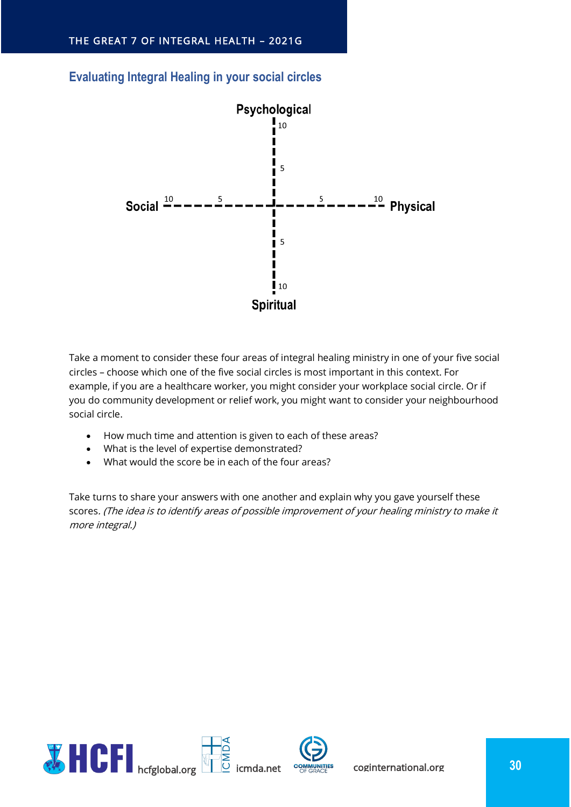

#### <span id="page-29-0"></span>**Evaluating Integral Healing in your social circles**

Take a moment to consider these four areas of integral healing ministry in one of your five social circles – choose which one of the five social circles is most important in this context. For example, if you are a healthcare worker, you might consider your workplace social circle. Or if you do community development or relief work, you might want to consider your neighbourhood social circle.

- How much time and attention is given to each of these areas?
- What is the level of expertise demonstrated?
- What would the score be in each of the four areas?

Take turns to share your answers with one another and explain why you gave yourself these scores. (The idea is to identify areas of possible improvement of your healing ministry to make it more integral.)

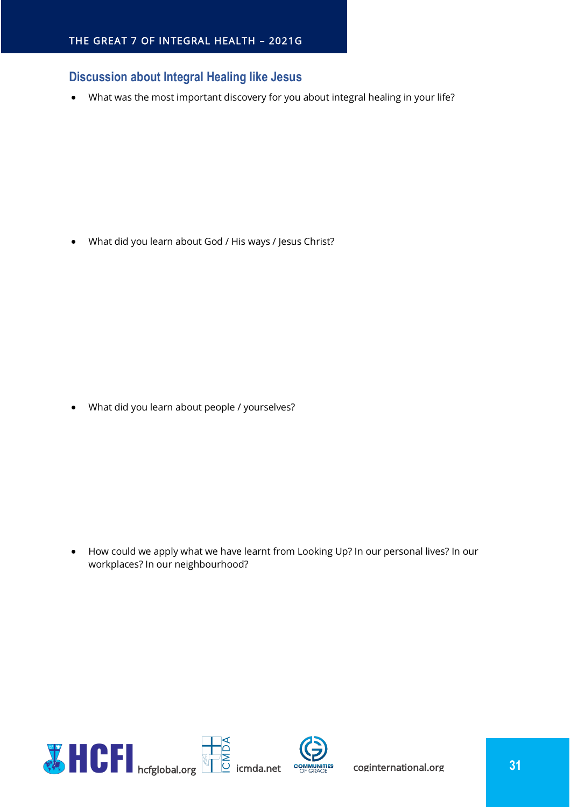## <span id="page-30-0"></span>**Discussion about Integral Healing like Jesus**

• What was the most important discovery for you about integral healing in your life?

• What did you learn about God / His ways / Jesus Christ?

• What did you learn about people / yourselves?

• How could we apply what we have learnt from Looking Up? In our personal lives? In our workplaces? In our neighbourhood?

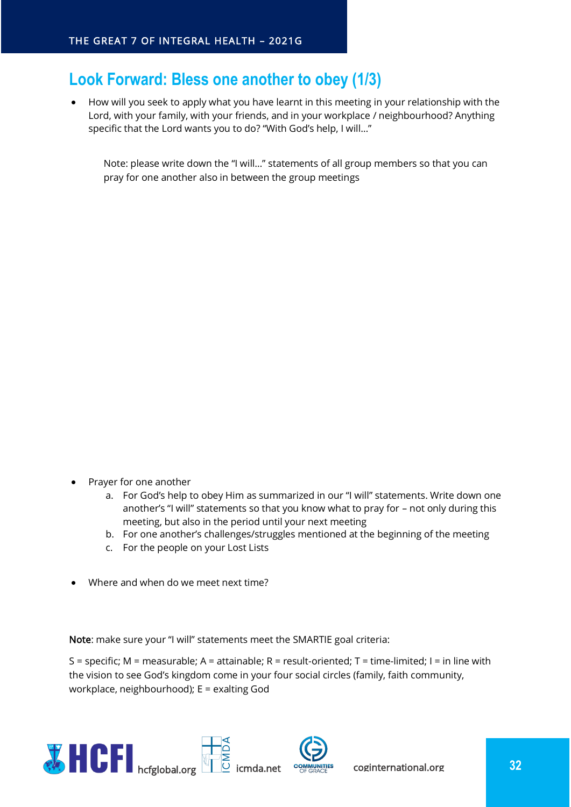## <span id="page-31-0"></span>**Look Forward: Bless one another to obey (1/3)**

• How will you seek to apply what you have learnt in this meeting in your relationship with the Lord, with your family, with your friends, and in your workplace / neighbourhood? Anything specific that the Lord wants you to do? "With God's help, I will…"

Note: please write down the "I will…" statements of all group members so that you can pray for one another also in between the group meetings

- Prayer for one another
	- a. For God's help to obey Him as summarized in our "I will" statements. Write down one another's "I will" statements so that you know what to pray for – not only during this meeting, but also in the period until your next meeting
	- b. For one another's challenges/struggles mentioned at the beginning of the meeting
	- c. For the people on your Lost Lists
- Where and when do we meet next time?

Note: make sure your "I will" statements meet the SMARTIE goal criteria:

S = specific; M = measurable; A = attainable; R = result-oriented; T = time-limited; I = in line with the vision to see God's kingdom come in your four social circles (family, faith community, workplace, neighbourhood); E = exalting God

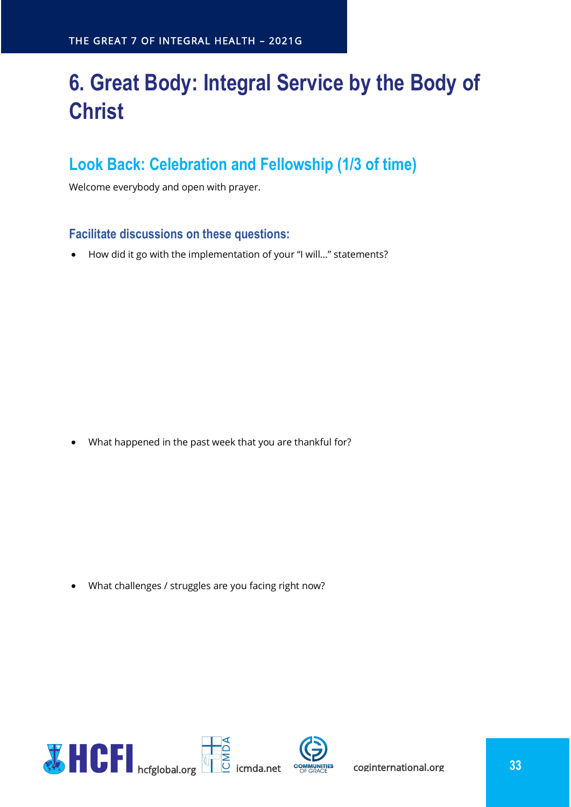# <span id="page-32-0"></span>**6. Great Body: Integral Service by the Body of Christ**

## <span id="page-32-1"></span>**Look Back: Celebration and Fellowship (1/3 of time)**

Welcome everybody and open with prayer.

#### <span id="page-32-2"></span>**Facilitate discussions on these questions:**

• How did it go with the implementation of your "I will…" statements?

• What happened in the past week that you are thankful for?

• What challenges / struggles are you facing right now?

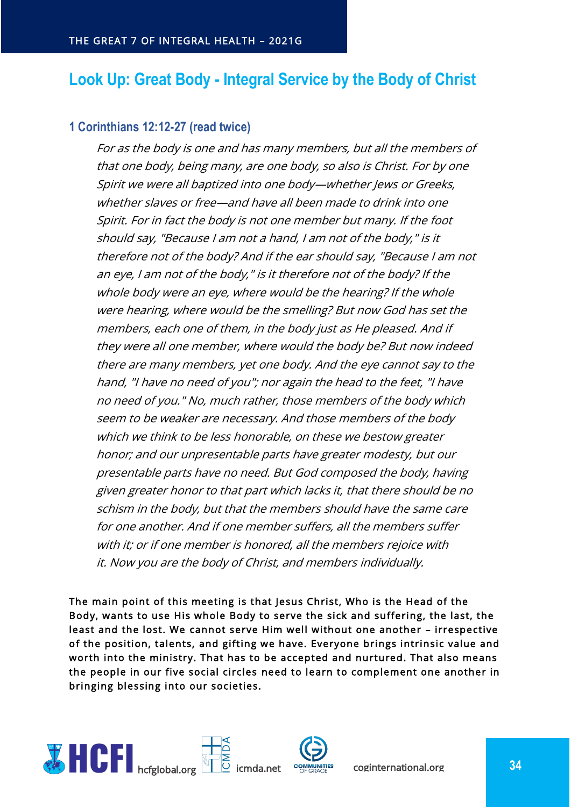## <span id="page-33-0"></span>**Look Up: Great Body - Integral Service by the Body of Christ**

#### <span id="page-33-1"></span>**1 Corinthians 12:12-27 (read twice)**

For as the body is one and has many members, but all the members of that one body, being many, are one body, so also is Christ. For by one Spirit we were all baptized into one body—whether Jews or Greeks, whether slaves or free—and have all been made to drink into one Spirit. For in fact the body is not one member but many. If the foot should say, "Because I am not a hand, I am not of the body," is it therefore not of the body? And if the ear should say, "Because I am not an eye, I am not of the body," is it therefore not of the body? If the whole body were an eye, where would be the hearing? If the whole were hearing, where would be the smelling? But now God has set the members, each one of them, in the body just as He pleased. And if they were all one member, where would the body be? But now indeed there are many members, yet one body. And the eye cannot say to the hand, "I have no need of you"; nor again the head to the feet, "I have no need of you." No, much rather, those members of the body which seem to be weaker are necessary. And those members of the body which we think to be less honorable, on these we bestow greater honor; and our unpresentable parts have greater modesty, but our presentable parts have no need. But God composed the body, having given greater honor to that part which lacks it, that there should be no schism in the body, but that the members should have the same care for one another. And if one member suffers, all the members suffer with it; or if one member is honored, all the members rejoice with it. Now you are the body of Christ, and members individually.

The main point of this meeting is that Jesus Christ, Who is the Head of the Body, wants to use His whole Body to serve the sick and suffering, the last, the least and the lost. We cannot serve Him well without one another – irrespective of the position, talents, and gifting we have. Everyone brings intrinsic value and worth into the ministry. That has to be accepted and nurtured. That also means the people in our five social circles need to learn to complement one another in bringing blessing into our societies.

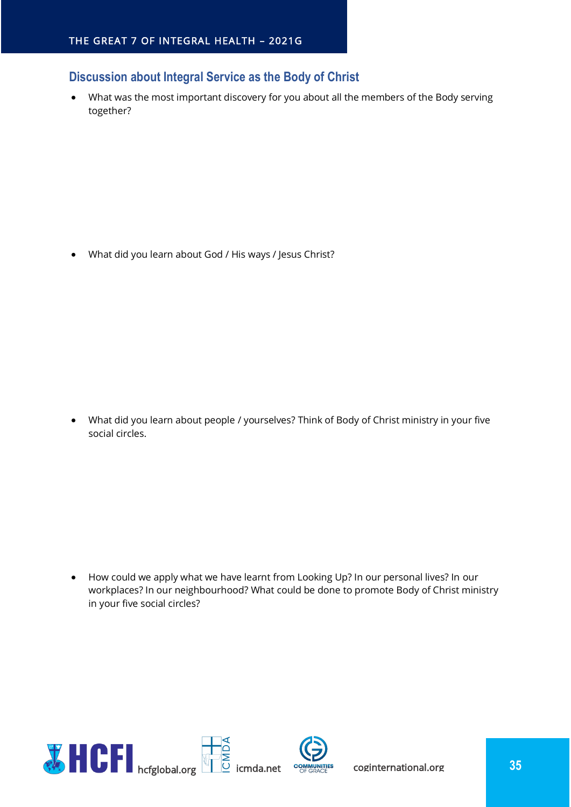## <span id="page-34-0"></span>**Discussion about Integral Service as the Body of Christ**

• What was the most important discovery for you about all the members of the Body serving together?

• What did you learn about God / His ways / Jesus Christ?

• What did you learn about people / yourselves? Think of Body of Christ ministry in your five social circles.

• How could we apply what we have learnt from Looking Up? In our personal lives? In our workplaces? In our neighbourhood? What could be done to promote Body of Christ ministry in your five social circles?

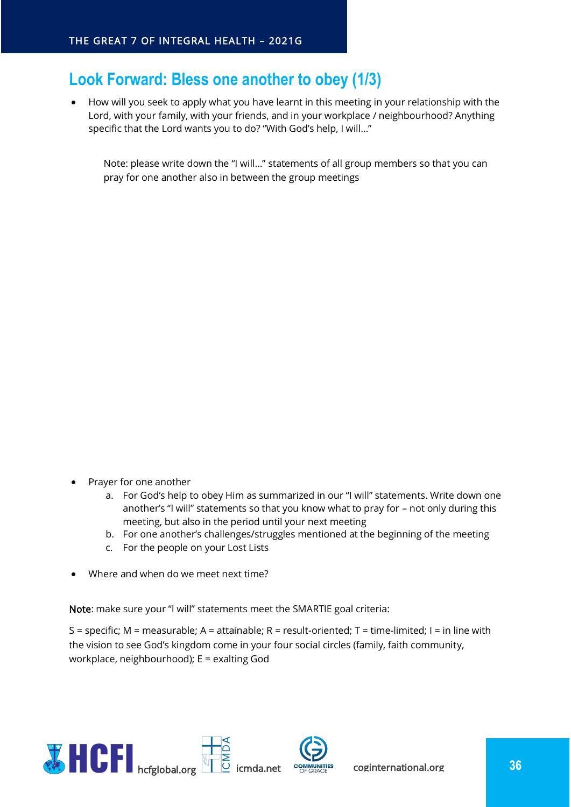## <span id="page-35-0"></span>**Look Forward: Bless one another to obey (1/3)**

• How will you seek to apply what you have learnt in this meeting in your relationship with the Lord, with your family, with your friends, and in your workplace / neighbourhood? Anything specific that the Lord wants you to do? "With God's help, I will…"

Note: please write down the "I will…" statements of all group members so that you can pray for one another also in between the group meetings

- Prayer for one another
	- a. For God's help to obey Him as summarized in our "I will" statements. Write down one another's "I will" statements so that you know what to pray for – not only during this meeting, but also in the period until your next meeting
	- b. For one another's challenges/struggles mentioned at the beginning of the meeting
	- c. For the people on your Lost Lists
- Where and when do we meet next time?

Note: make sure your "I will" statements meet the SMARTIE goal criteria:

S = specific; M = measurable; A = attainable; R = result-oriented; T = time-limited; I = in line with the vision to see God's kingdom come in your four social circles (family, faith community, workplace, neighbourhood); E = exalting God

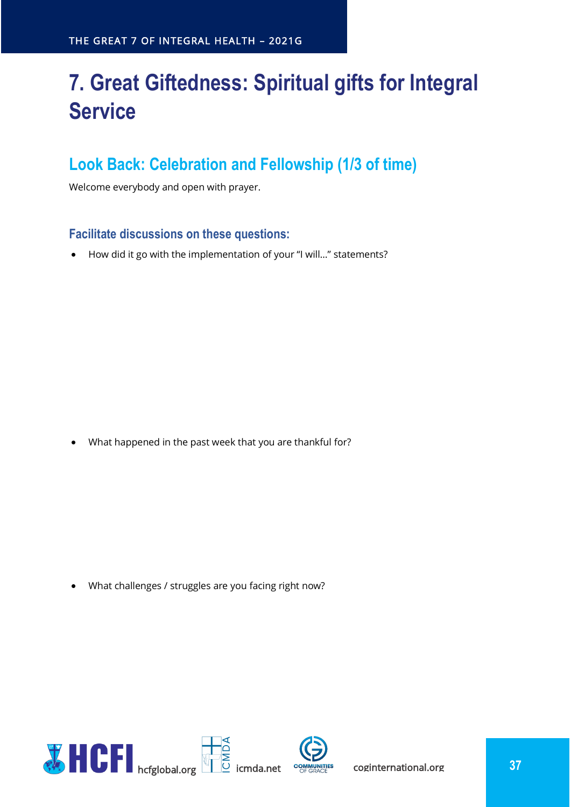# <span id="page-36-0"></span>**7. Great Giftedness: Spiritual gifts for Integral Service**

## <span id="page-36-1"></span>**Look Back: Celebration and Fellowship (1/3 of time)**

Welcome everybody and open with prayer.

#### <span id="page-36-2"></span>**Facilitate discussions on these questions:**

• How did it go with the implementation of your "I will…" statements?

• What happened in the past week that you are thankful for?

• What challenges / struggles are you facing right now?

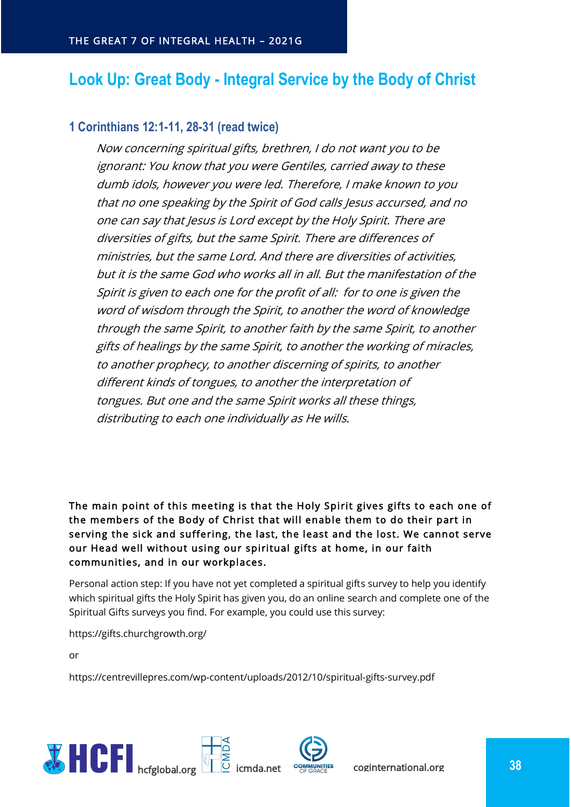## <span id="page-37-0"></span>**Look Up: Great Body - Integral Service by the Body of Christ**

## <span id="page-37-1"></span>**1 Corinthians 12:1-11, 28-31 (read twice)**

Now concerning spiritual gifts, brethren, I do not want you to be ignorant: You know that you were Gentiles, carried away to these dumb idols, however you were led. Therefore, I make known to you that no one speaking by the Spirit of God calls Jesus accursed, and no one can say that Jesus is Lord except by the Holy Spirit. There are diversities of gifts, but the same Spirit. There are differences of ministries, but the same Lord. And there are diversities of activities, but it is the same God who works all in all. But the manifestation of the Spirit is given to each one for the profit of all: for to one is given the word of wisdom through the Spirit, to another the word of knowledge through the same Spirit, to another faith by the same Spirit, to another gifts of healings by the same Spirit, to another the working of miracles, to another prophecy, to another discerning of spirits, to another different kinds of tongues, to another the interpretation of tongues. But one and the same Spirit works all these things, distributing to each one individually as He wills.

The main point of this meeting is that the Holy Spirit gives gifts to each one of the members of the Body of Christ that will enable them to do their part in serving the sick and suffering, the last, the least and the lost. We cannot serve our Head well without using our spiritual gifts at home, in our faith communities, and in our workplaces.

Personal action step: If you have not yet completed a spiritual gifts survey to help you identify which spiritual gifts the Holy Spirit has given you, do an online search and complete one of the Spiritual Gifts surveys you find. For example, you could use this survey:

https://gifts.churchgrowth.org/

or

https://centrevillepres.com/wp-content/uploads/2012/10/spiritual-gifts-survey.pdf

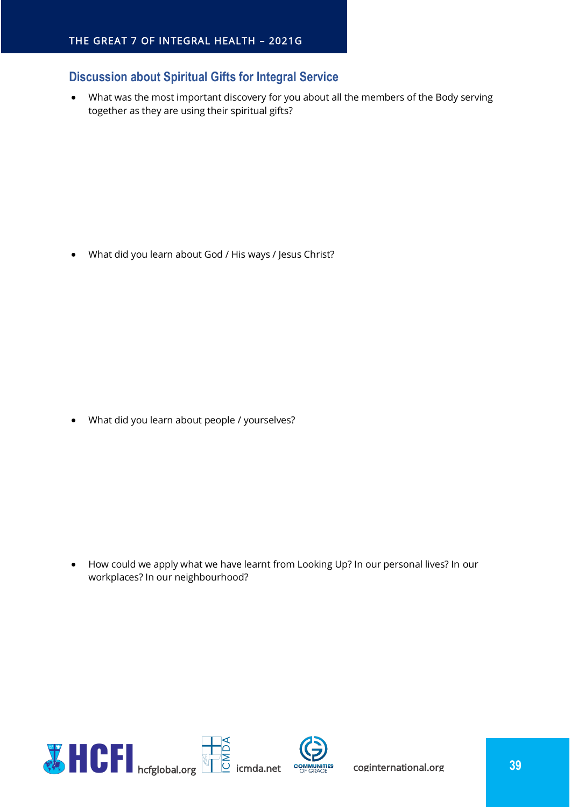## <span id="page-38-0"></span>**Discussion about Spiritual Gifts for Integral Service**

• What was the most important discovery for you about all the members of the Body serving together as they are using their spiritual gifts?

• What did you learn about God / His ways / Jesus Christ?

• What did you learn about people / yourselves?

• How could we apply what we have learnt from Looking Up? In our personal lives? In our workplaces? In our neighbourhood?

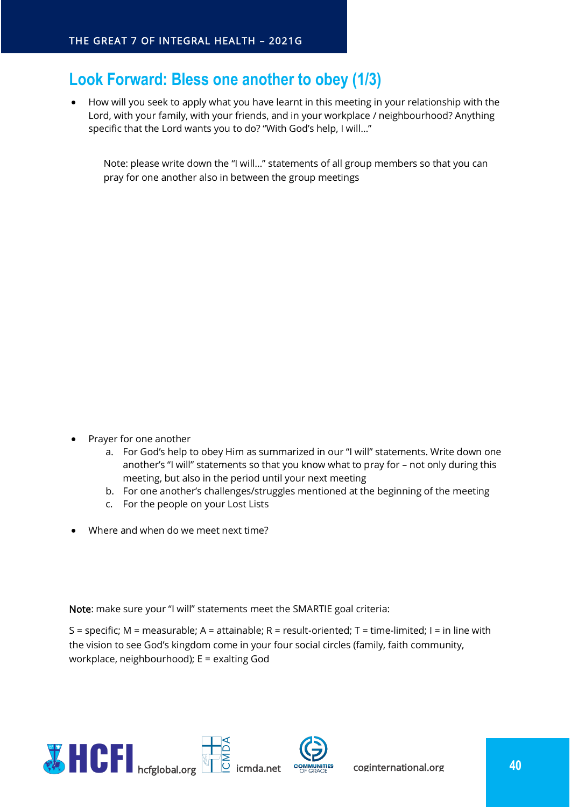## <span id="page-39-0"></span>**Look Forward: Bless one another to obey (1/3)**

• How will you seek to apply what you have learnt in this meeting in your relationship with the Lord, with your family, with your friends, and in your workplace / neighbourhood? Anything specific that the Lord wants you to do? "With God's help, I will…"

Note: please write down the "I will…" statements of all group members so that you can pray for one another also in between the group meetings

- Prayer for one another
	- a. For God's help to obey Him as summarized in our "I will" statements. Write down one another's "I will" statements so that you know what to pray for – not only during this meeting, but also in the period until your next meeting
	- b. For one another's challenges/struggles mentioned at the beginning of the meeting
	- c. For the people on your Lost Lists
- Where and when do we meet next time?

Note: make sure your "I will" statements meet the SMARTIE goal criteria:

S = specific; M = measurable; A = attainable; R = result-oriented; T = time-limited; I = in line with the vision to see God's kingdom come in your four social circles (family, faith community, workplace, neighbourhood); E = exalting God

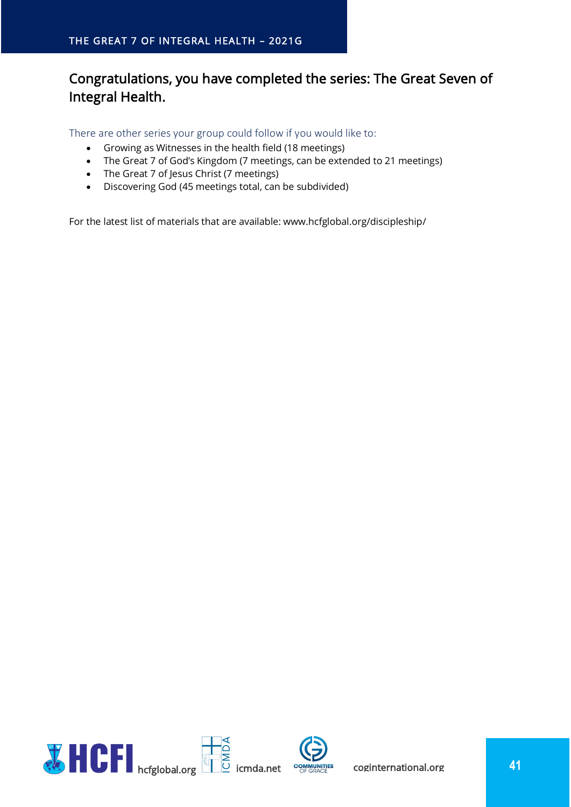## Congratulations, you have completed the series: The Great Seven of Integral Health.

<span id="page-40-0"></span>There are other series your group could follow if you would like to:

- Growing as Witnesses in the health field (18 meetings)
- The Great 7 of God's Kingdom (7 meetings, can be extended to 21 meetings)
- The Great 7 of Jesus Christ (7 meetings)
- Discovering God (45 meetings total, can be subdivided)

For the latest list of materials that are available: www.hcfglobal.org/discipleship/

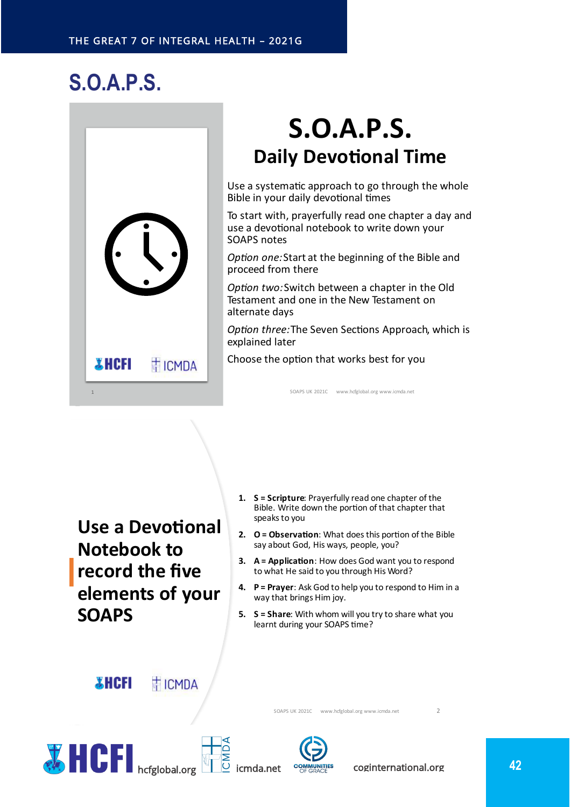# <span id="page-41-0"></span>**S.O.A.P.S.**



# **S.O.A.P.S. Daily Devotional Time**

Use a systematic approach to go through the whole Bible in your daily devotional times

To start with, prayerfully read one chapter a day and use a devotional notebook to write down your SOAPS notes

*Option one:* Start at the beginning of the Bible and proceed from there

Option two: Switch between a chapter in the Old Testament and one in the New Testament on alternate days

Option three: The Seven Sections Approach, which is explained later

Choose the option that works best for you

SOAPS UK 2021C www.hcfglobal.org www.jcmda.net

**Use a Devotional Notebook to** record the five elements of your **SOAPS** 

- 1. S = Scripture: Prayerfully read one chapter of the Bible. Write down the portion of that chapter that speaks to you
- 2. O = Observation: What does this portion of the Bible say about God, His ways, people, you?
- 3. A = Application: How does God want you to respond to what He said to you through His Word?
- 4. P = Prayer: Ask God to help you to respond to Him in a way that brings Him joy.
- 5. S = Share: With whom will you try to share what you learnt during your SOAPS time?

SOAPS UK 2021C www.hcfglobal.org www.icmda.net

**XHCFI TICMDA** 







 $\overline{z}$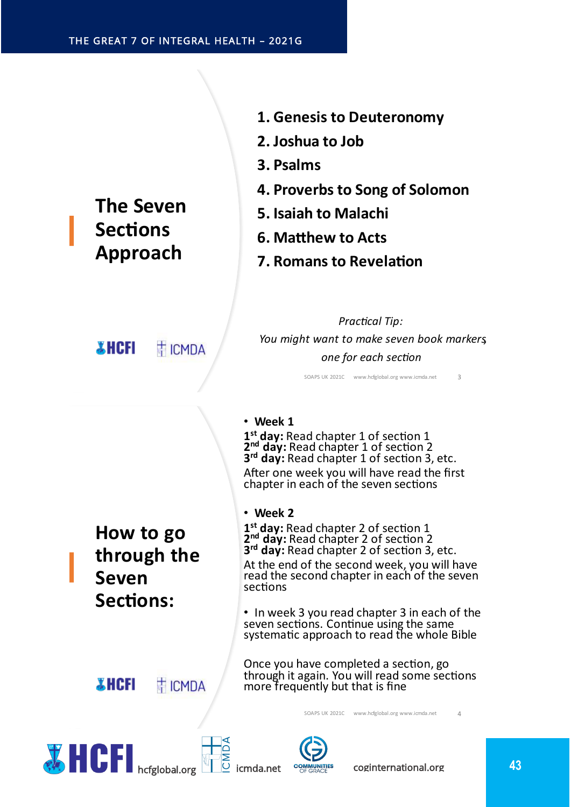## **The Seven Sections Approach**

**THCFI** 

T ICMDA

- **1. Genesis to Deuteronomy**
- 2. Joshua to Job
- **3. Psalms**
- **4. Proverbs to Song of Solomon**
- **5. Isaiah to Malachi**
- **6. Matthew to Acts**
- **7. Romans to Revelation**

**Practical Tip:** You might want to make seven book markers one for each section

SOAPS UK 2021C www.hcfglobal.org www.icmda.net

 $\overline{z}$ 

#### Ĩ

 $\mathbf{1}^{\mathsf{s}}$  3' After one week you will have read the first chapter in each of the seven sections

How to go through the **Seven Sections:** 

**TICMDA** 

#### $\bullet$

 $\mathbf{1}^{\mathsf{s}}$  3' At the end of the second week, you will have read the second chapter in each of the seven sections

 $\bullet$ seven sections. Continue using the same systematic approach to read the whole Bible

Once you have completed a section, go through it again. You will read some sections more frequently but that is fine

SOAPS UK 2021C www.hcfglobal.org www.icmda.net



*X* **HCFI** 





**icmda.net COMMUNITIES** coginternational.org **13**